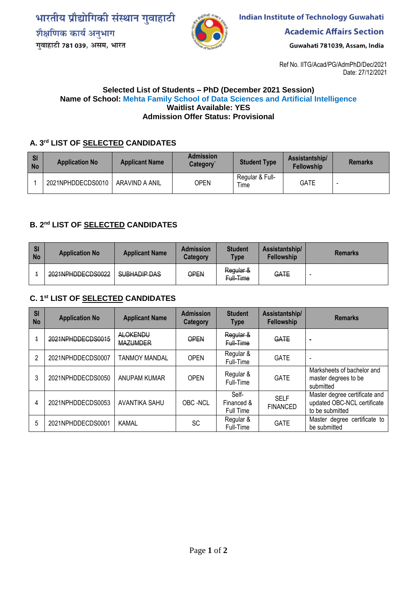भारतीय प्रौद्योगिकी संस्थान गुवाहाटी शैक्षणिक कार्य अनुभाग गुवाहाटी 781 039, असम, भारत



**Indian Institute of Technology Guwahati** 

**Academic Affairs Section** 

Guwahati 781039, Assam, India

Ref No. IITG/Acad/PG/AdmPhD/Dec/2021 Date: 27/12/2021

#### **Selected List of Students – PhD (December 2021 Session) Name of School: Mehta Family School of Data Sciences and Artificial Intelligence Waitlist Available: YES Admission Offer Status: Provisional**

# **A. 3rd LIST OF SELECTED CANDIDATES**

| <b>SI</b><br><b>No</b> | <b>Application No</b> | <b>Applicant Name</b> | <b>Admission</b><br>Category | <b>Student Type</b>     | Assistantship/<br><b>Fellowship</b> | <b>Remarks</b> |
|------------------------|-----------------------|-----------------------|------------------------------|-------------------------|-------------------------------------|----------------|
|                        | 2021NPHDDECDS0010     | ARAVIND A ANIL        | OPEN                         | Regular & Full-<br>Time | <b>GATE</b>                         |                |

## **B. 2nd LIST OF SELECTED CANDIDATES**

| <b>SI</b><br><b>No</b> | <b>Application No</b> | <b>Applicant Name</b> | <b>Admission</b><br><b>Category</b> | <b>Student</b><br><b>Type</b> | Assistantship/<br><b>Fellowship</b> | <b>Remarks</b>           |
|------------------------|-----------------------|-----------------------|-------------------------------------|-------------------------------|-------------------------------------|--------------------------|
|                        | 2021NPHDDECDS0022     | SUBHADIP DAS          | OPEN                                | Regular &<br>Full-Time        | GATE                                | $\overline{\phantom{a}}$ |

### **C. 1 st LIST OF SELECTED CANDIDATES**

| SI<br><b>No</b> | <b>Application No</b> | <b>Applicant Name</b>              | <b>Admission</b><br>Category | <b>Student</b><br><b>Type</b>    | Assistantship/<br>Fellowship   | <b>Remarks</b>                                                                  |
|-----------------|-----------------------|------------------------------------|------------------------------|----------------------------------|--------------------------------|---------------------------------------------------------------------------------|
| $\overline{1}$  | 2021NPHDDECDS0015     | <b>ALOKENDU</b><br><b>MAZUMDER</b> | OPEN                         | Regular &<br>Full-Time           | GATE                           | $\hskip 1.5cm -$                                                                |
| 2               | 2021NPHDDECDS0007     | <b>TANMOY MANDAL</b>               | <b>OPEN</b>                  | Regular &<br>Full-Time           | <b>GATE</b>                    | $\overline{\phantom{a}}$                                                        |
| 3               | 2021NPHDDECDS0050     | ANUPAM KUMAR                       | <b>OPEN</b>                  | Regular &<br>Full-Time           | <b>GATE</b>                    | Marksheets of bachelor and<br>master degrees to be<br>submitted                 |
| 4               | 2021NPHDDECDS0053     | AVANTIKA SAHU                      | OBC-NCL                      | Self-<br>Financed &<br>Full Time | <b>SELF</b><br><b>FINANCED</b> | Master degree certificate and<br>updated OBC-NCL certificate<br>to be submitted |
| 5               | 2021NPHDDECDS0001     | <b>KAMAL</b>                       | <b>SC</b>                    | Regular &<br>Full-Time           | <b>GATE</b>                    | Master degree certificate to<br>be submitted                                    |